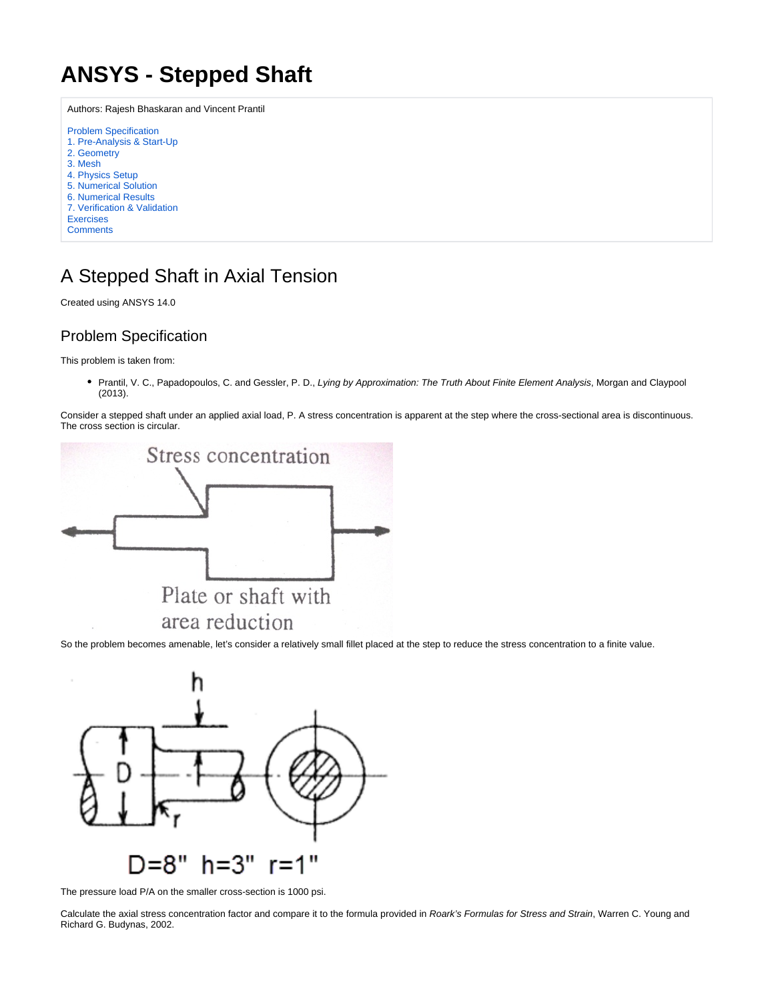## <span id="page-0-0"></span>**ANSYS - Stepped Shaft**

Authors: Rajesh Bhaskaran and Vincent Prantil [Problem Specification](#page-0-0) [1. Pre-Analysis & Start-Up](https://confluence.cornell.edu/pages/viewpage.action?pageId=220956095) [2. Geometry](https://confluence.cornell.edu/display/SIMULATION/Stepped+Shaft+-+Geometry) [3. Mesh](https://confluence.cornell.edu/display/SIMULATION/Stepped+Shaft+-+Mesh) [4. Physics Setup](https://confluence.cornell.edu/display/SIMULATION/Stepped+Shaft+-+Physics+Setup) [5. Numerical Solution](https://confluence.cornell.edu/display/SIMULATION/Stepped+Shaft+-+Numerical+Solution) [6. Numerical Results](https://confluence.cornell.edu/display/SIMULATION/Stepped+Shaft+-+Numerical+Results) [7. Verification & Validation](https://confluence.cornell.edu/pages/viewpage.action?pageId=220956113) **[Exercises](https://confluence.cornell.edu/display/SIMULATION/Stepped+Shaft+-+Exercises) [Comments](https://confluence.cornell.edu/display/SIMULATION/Stepped+Shaft+-+Comments)** 

## A Stepped Shaft in Axial Tension

Created using ANSYS 14.0

## Problem Specification

This problem is taken from:

• Prantil, V. C., Papadopoulos, C. and Gessler, P. D., Lying by Approximation: The Truth About Finite Element Analysis, Morgan and Claypool (2013).

Consider a stepped shaft under an applied axial load, P. A stress concentration is apparent at the step where the cross-sectional area is discontinuous. The cross section is circular.



So the problem becomes amenable, let's consider a relatively small fillet placed at the step to reduce the stress concentration to a finite value.



The pressure load P/A on the smaller cross-section is 1000 psi.

Calculate the axial stress concentration factor and compare it to the formula provided in Roark's Formulas for Stress and Strain, Warren C. Young and Richard G. Budynas, 2002.